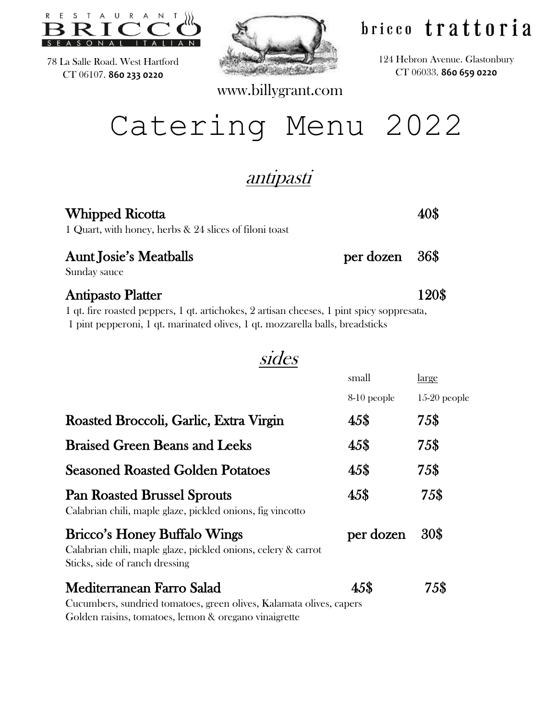

78 La Salle Road. West Hartford CT 06107. **860 233 0220**



www.billygrant.com

# bricco trattoria

124 Hebron Avenue. Glastonbury CT 06033. **860 659 0220**

# Catering Menu 2022

## antipasti

sides

| <b>Whipped Ricotta</b><br>1 Quart, with honey, herbs & 24 slices of filoni toast                                                                                                                       |                | 40S   |
|--------------------------------------------------------------------------------------------------------------------------------------------------------------------------------------------------------|----------------|-------|
| <b>Aunt Josie's Meatballs</b><br>Sunday sauce                                                                                                                                                          | per dozen 36\$ |       |
| <b>Antipasto Platter</b><br>1 qt. fire roasted peppers, 1 qt. artichokes, 2 artisan cheeses, 1 pint spicy soppresata,<br>1 pint pepperoni, 1 qt. marinated olives, 1 qt. mozzarella balls, breadsticks |                | 120\$ |

| wiaco                                                                                                                                  |             |                |
|----------------------------------------------------------------------------------------------------------------------------------------|-------------|----------------|
|                                                                                                                                        | small       | <u>large</u>   |
|                                                                                                                                        | 8-10 people | $15-20$ people |
| Roasted Broccoli, Garlic, Extra Virgin                                                                                                 | 45\$        | 75\$           |
| <b>Braised Green Beans and Leeks</b>                                                                                                   | 45\$        | 75\$           |
| <b>Seasoned Roasted Golden Potatoes</b>                                                                                                | 45\$        | 75\$           |
| <b>Pan Roasted Brussel Sprouts</b><br>Calabrian chili, maple glaze, pickled onions, fig vincotto                                       | 45\$        | 75\$           |
| <b>Bricco's Honey Buffalo Wings</b><br>Calabrian chili, maple glaze, pickled onions, celery & carrot<br>Sticks, side of ranch dressing | per dozen   | 30\$           |
| Mediterranean Farro Salad                                                                                                              | 45\$        | 75\$           |
| Cucumbers, sundried tomatoes, green olives, Kalamata olives, capers<br>Golden raisins, tomatoes, lemon & oregano vinaigrette           |             |                |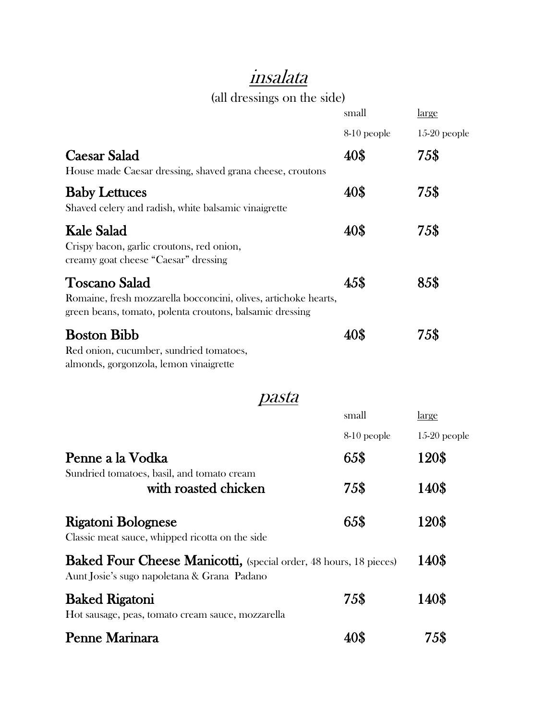# insalata

### (all dressings on the side)

| (all dressings on the side)                                                                                                                         |               |                |
|-----------------------------------------------------------------------------------------------------------------------------------------------------|---------------|----------------|
|                                                                                                                                                     | small         | <u>large</u>   |
|                                                                                                                                                     | 8-10 people   | $15-20$ people |
| <b>Caesar Salad</b>                                                                                                                                 | 40\$          | 75\$           |
| House made Caesar dressing, shaved grana cheese, croutons                                                                                           |               |                |
| <b>Baby Lettuces</b><br>Shaved celery and radish, white balsamic vinaigrette                                                                        | 40\$          | 75\$           |
| <b>Kale Salad</b><br>Crispy bacon, garlic croutons, red onion,<br>creamy goat cheese "Caesar" dressing                                              | 40\$          | 75\$           |
| <b>Toscano Salad</b><br>Romaine, fresh mozzarella bocconcini, olives, artichoke hearts,<br>green beans, tomato, polenta croutons, balsamic dressing | 45\$          | 85\$           |
| <b>Boston Bibb</b><br>Red onion, cucumber, sundried tomatoes,<br>almonds, gorgonzola, lemon vinaigrette                                             | 40\$          | 75\$           |
| pasta                                                                                                                                               |               |                |
|                                                                                                                                                     | small         | <u>large</u>   |
|                                                                                                                                                     | $8-10$ people | $15-20$ people |
| Penne a la Vodka                                                                                                                                    | 65\$          | 120\$          |
| Sundried tomatoes, basil, and tomato cream<br>with roasted chicken                                                                                  | 75\$          | 140\$          |
| <b>Rigatoni Bolognese</b><br>Classic meat sauce, whipped ricotta on the side                                                                        | 65\$          | 120\$          |
| Baked Four Cheese Manicotti, (special order, 48 hours, 18 pieces)<br>Aunt Josie's sugo napoletana & Grana Padano                                    |               | 140\$          |
| <b>Baked Rigatoni</b><br>Hot sausage, peas, tomato cream sauce, mozzarella                                                                          | 75\$          | 140\$          |
| Penne Marinara                                                                                                                                      | 40\$          | 75\$           |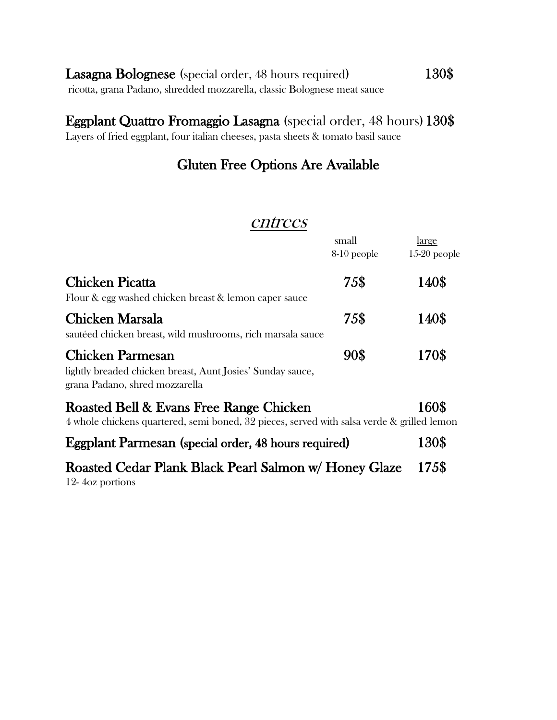| Lasagna Bolognese (special order, 48 hours required)                     | 130\$ |
|--------------------------------------------------------------------------|-------|
| ricotta, grana Padano, shredded mozzarella, classic Bolognese meat sauce |       |

#### Eggplant Quattro Fromaggio Lasagna (special order, 48 hours) 130\$

Layers of fried eggplant, four italian cheeses, pasta sheets & tomato basil sauce

## Gluten Free Options Are Available

#### entrees

|                                                                                                                                       | small<br>8-10 people | <u>large</u><br>$15-20$ people |
|---------------------------------------------------------------------------------------------------------------------------------------|----------------------|--------------------------------|
| <b>Chicken Picatta</b><br>Flour & egg washed chicken breast & lemon caper sauce                                                       | 75\$                 | 140\$                          |
| <b>Chicken Marsala</b><br>sautéed chicken breast, wild mushrooms, rich marsala sauce                                                  | 75\$                 | 140\$                          |
| <b>Chicken Parmesan</b><br>lightly breaded chicken breast, Aunt Josies' Sunday sauce,<br>grana Padano, shred mozzarella               | 90\$                 | 170\$                          |
| Roasted Bell & Evans Free Range Chicken<br>4 whole chickens quartered, semi boned, 32 pieces, served with salsa verde & grilled lemon |                      | 160\$                          |
| <b>Eggplant Parmesan</b> (special order, 48 hours required)                                                                           |                      | 130\$                          |
| Roasted Cedar Plank Black Pearl Salmon w/ Honey Glaze<br>12-4 oz portions                                                             |                      | 175\$                          |